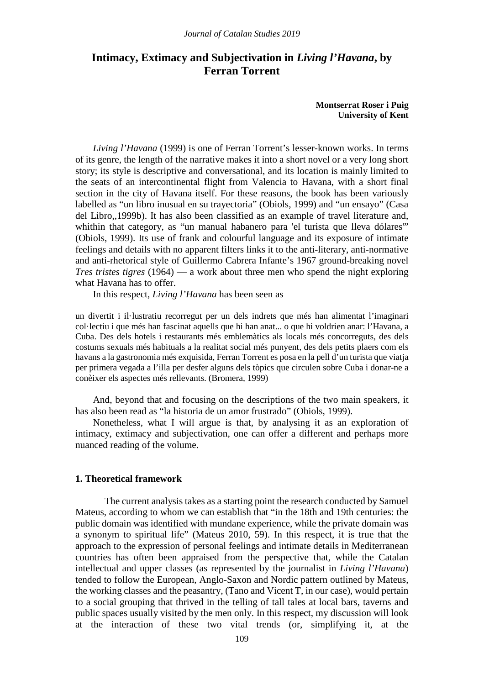# **Intimacy, Extimacy and Subjectivation in** *Living l'Havana***, by Ferran Torrent**

**Montserrat Roser i Puig University of Kent**

*Living l'Havana* (1999) is one of Ferran Torrent's lesser-known works. In terms of its genre, the length of the narrative makes it into a short novel or a very long short story; its style is descriptive and conversational, and its location is mainly limited to the seats of an intercontinental flight from Valencia to Havana, with a short final section in the city of Havana itself. For these reasons, the book has been variously labelled as "un libro inusual en su trayectoria" (Obiols, 1999) and "un ensayo" (Casa del Libro,,1999b). It has also been classified as an example of travel literature and, whithin that category, as "un manual habanero para 'el turista que lleva dólares" (Obiols, 1999). Its use of frank and colourful language and its exposure of intimate feelings and details with no apparent filters links it to the anti-literary, anti-normative and anti-rhetorical style of Guillermo Cabrera Infante's 1967 ground-breaking novel *Tres tristes tigres* (1964) — a work about three men who spend the night exploring what Havana has to offer.

In this respect, *Living l'Havana* has been seen as

un divertit i il·lustratiu recorregut per un dels indrets que més han alimentat l'imaginari col·lectiu i que més han fascinat aquells que hi han anat... o que hi voldrien anar: l'Havana, a Cuba. Des dels hotels i restaurants més emblemàtics als locals més concorreguts, des dels costums sexuals més habituals a la realitat social més punyent, des dels petits plaers com els havans a la gastronomia més exquisida, Ferran Torrent es posa en la pell d'un turista que viatja per primera vegada a l'illa per desfer alguns dels tòpics que circulen sobre Cuba i donar-ne a conèixer els aspectes més rellevants. (Bromera, 1999)

And, beyond that and focusing on the descriptions of the two main speakers, it has also been read as "la historia de un amor frustrado" (Obiols, 1999).

Nonetheless, what I will argue is that, by analysing it as an exploration of intimacy, extimacy and subjectivation, one can offer a different and perhaps more nuanced reading of the volume.

## **1. Theoretical framework**

The current analysis takes as a starting point the research conducted by Samuel Mateus, according to whom we can establish that "in the 18th and 19th centuries: the public domain was identified with mundane experience, while the private domain was a synonym to spiritual life" (Mateus 2010, 59). In this respect, it is true that the approach to the expression of personal feelings and intimate details in Mediterranean countries has often been appraised from the perspective that, while the Catalan intellectual and upper classes (as represented by the journalist in *Living l'Havana*) tended to follow the European, Anglo-Saxon and Nordic pattern outlined by Mateus, the working classes and the peasantry, (Tano and Vicent T, in our case), would pertain to a social grouping that thrived in the telling of tall tales at local bars, taverns and public spaces usually visited by the men only. In this respect, my discussion will look at the interaction of these two vital trends (or, simplifying it, at the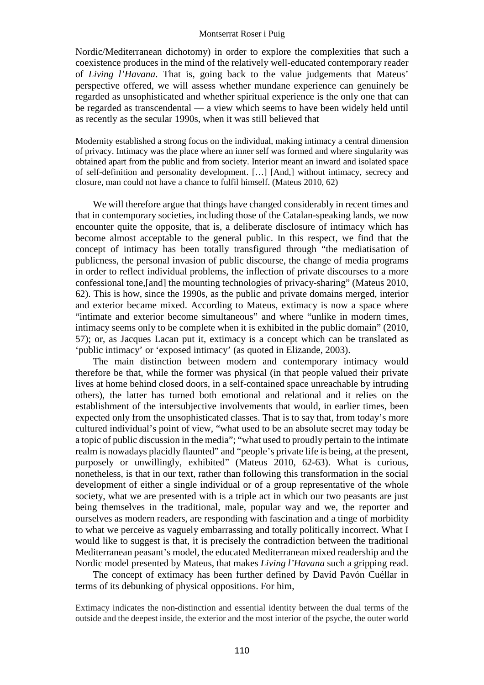Nordic/Mediterranean dichotomy) in order to explore the complexities that such a coexistence produces in the mind of the relatively well-educated contemporary reader of *Living l'Havana*. That is, going back to the value judgements that Mateus' perspective offered, we will assess whether mundane experience can genuinely be regarded as unsophisticated and whether spiritual experience is the only one that can be regarded as transcendental — a view which seems to have been widely held until as recently as the secular 1990s, when it was still believed that

Modernity established a strong focus on the individual, making intimacy a central dimension of privacy. Intimacy was the place where an inner self was formed and where singularity was obtained apart from the public and from society. Interior meant an inward and isolated space of self-definition and personality development. […] [And,] without intimacy, secrecy and closure, man could not have a chance to fulfil himself. (Mateus 2010, 62)

We will therefore argue that things have changed considerably in recent times and that in contemporary societies, including those of the Catalan-speaking lands, we now encounter quite the opposite, that is, a deliberate disclosure of intimacy which has become almost acceptable to the general public. In this respect, we find that the concept of intimacy has been totally transfigured through "the mediatisation of publicness, the personal invasion of public discourse, the change of media programs in order to reflect individual problems, the inflection of private discourses to a more confessional tone,[and] the mounting technologies of privacy-sharing" (Mateus 2010, 62). This is how, since the 1990s, as the public and private domains merged, interior and exterior became mixed. According to Mateus, extimacy is now a space where "intimate and exterior become simultaneous" and where "unlike in modern times, intimacy seems only to be complete when it is exhibited in the public domain" (2010, 57); or, as Jacques Lacan put it, extimacy is a concept which can be translated as 'public intimacy' or 'exposed intimacy' (as quoted in Elizande, 2003).

The main distinction between modern and contemporary intimacy would therefore be that, while the former was physical (in that people valued their private lives at home behind closed doors, in a self-contained space unreachable by intruding others), the latter has turned both emotional and relational and it relies on the establishment of the intersubjective involvements that would, in earlier times, been expected only from the unsophisticated classes. That is to say that, from today's more cultured individual's point of view, "what used to be an absolute secret may today be a topic of public discussion in the media"; "what used to proudly pertain to the intimate realm is nowadays placidly flaunted" and "people's private life is being, at the present, purposely or unwillingly, exhibited" (Mateus 2010, 62-63). What is curious, nonetheless, is that in our text, rather than following this transformation in the social development of either a single individual or of a group representative of the whole society, what we are presented with is a triple act in which our two peasants are just being themselves in the traditional, male, popular way and we, the reporter and ourselves as modern readers, are responding with fascination and a tinge of morbidity to what we perceive as vaguely embarrassing and totally politically incorrect. What I would like to suggest is that, it is precisely the contradiction between the traditional Mediterranean peasant's model, the educated Mediterranean mixed readership and the Nordic model presented by Mateus, that makes *Living l'Havana* such a gripping read.

The concept of extimacy has been further defined by David Pavón Cuéllar in terms of its debunking of physical oppositions. For him,

Extimacy indicates the non-distinction and essential identity between the dual terms of the outside and the deepest inside, the exterior and the most interior of the psyche, the outer world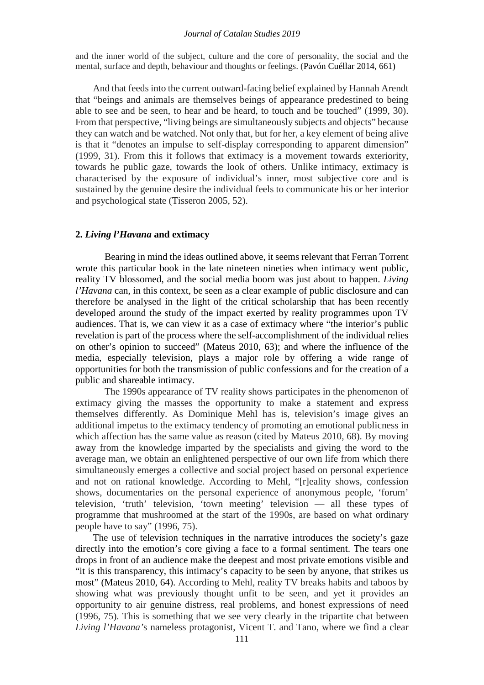#### *Journal of Catalan Studies 2019*

and the inner world of the subject, culture and the core of personality, the social and the mental, surface and depth, behaviour and thoughts or feelings. (Pavón Cuéllar 2014, 661)

And that feeds into the current outward-facing belief explained by Hannah Arendt that "beings and animals are themselves beings of appearance predestined to being able to see and be seen, to hear and be heard, to touch and be touched" (1999, 30). From that perspective, "living beings are simultaneously subjects and objects" because they can watch and be watched. Not only that, but for her, a key element of being alive is that it "denotes an impulse to self-display corresponding to apparent dimension" (1999, 31). From this it follows that extimacy is a movement towards exteriority, towards he public gaze, towards the look of others. Unlike intimacy, extimacy is characterised by the exposure of individual's inner, most subjective core and is sustained by the genuine desire the individual feels to communicate his or her interior and psychological state (Tisseron 2005, 52).

#### **2.** *Living l'Havana* **and extimacy**

Bearing in mind the ideas outlined above, it seems relevant that Ferran Torrent wrote this particular book in the late nineteen nineties when intimacy went public, reality TV blossomed, and the social media boom was just about to happen. *Living l'Havana* can, in this context, be seen as a clear example of public disclosure and can therefore be analysed in the light of the critical scholarship that has been recently developed around the study of the impact exerted by reality programmes upon TV audiences. That is, we can view it as a case of extimacy where "the interior's public revelation is part of the process where the self-accomplishment of the individual relies on other's opinion to succeed" (Mateus 2010, 63); and where the influence of the media, especially television, plays a major role by offering a wide range of opportunities for both the transmission of public confessions and for the creation of a public and shareable intimacy.

The 1990s appearance of TV reality shows participates in the phenomenon of extimacy giving the masses the opportunity to make a statement and express themselves differently. As Dominique Mehl has is, television's image gives an additional impetus to the extimacy tendency of promoting an emotional publicness in which affection has the same value as reason (cited by Mateus 2010, 68). By moving away from the knowledge imparted by the specialists and giving the word to the average man, we obtain an enlightened perspective of our own life from which there simultaneously emerges a collective and social project based on personal experience and not on rational knowledge. According to Mehl, "[r]eality shows, confession shows, documentaries on the personal experience of anonymous people, 'forum' television, 'truth' television, 'town meeting' television — all these types of programme that mushroomed at the start of the 1990s, are based on what ordinary people have to say" (1996, 75).

The use of television techniques in the narrative introduces the society's gaze directly into the emotion's core giving a face to a formal sentiment. The tears one drops in front of an audience make the deepest and most private emotions visible and "it is this transparency, this intimacy's capacity to be seen by anyone, that strikes us most" (Mateus 2010, 64). According to Mehl, reality TV breaks habits and taboos by showing what was previously thought unfit to be seen, and yet it provides an opportunity to air genuine distress, real problems, and honest expressions of need (1996, 75). This is something that we see very clearly in the tripartite chat between *Living l'Havana'*s nameless protagonist, Vicent T. and Tano, where we find a clear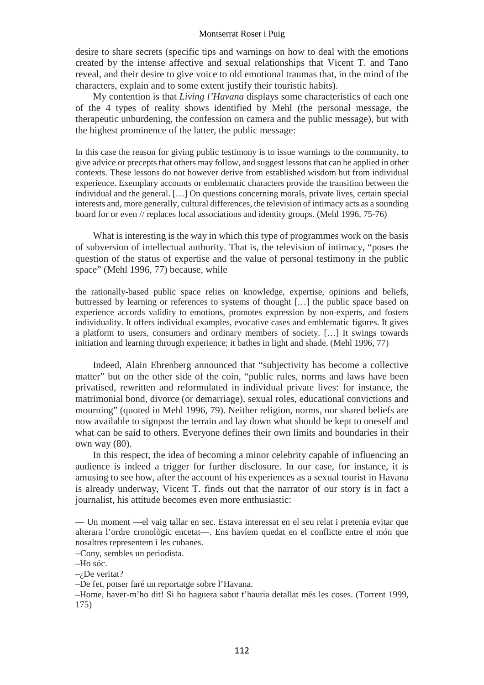desire to share secrets (specific tips and warnings on how to deal with the emotions created by the intense affective and sexual relationships that Vicent T. and Tano reveal, and their desire to give voice to old emotional traumas that, in the mind of the characters, explain and to some extent justify their touristic habits).

My contention is that *Living l'Havana* displays some characteristics of each one of the 4 types of reality shows identified by Mehl (the personal message, the therapeutic unburdening, the confession on camera and the public message), but with the highest prominence of the latter, the public message:

In this case the reason for giving public testimony is to issue warnings to the community, to give advice or precepts that others may follow, and suggest lessons that can be applied in other contexts. These lessons do not however derive from established wisdom but from individual experience. Exemplary accounts or emblematic characters provide the transition between the individual and the general. […] On questions concerning morals, private lives, certain special interests and, more generally, cultural differences, the television of intimacy acts as a sounding board for or even // replaces local associations and identity groups. (Mehl 1996, 75-76)

What is interesting is the way in which this type of programmes work on the basis of subversion of intellectual authority. That is, the television of intimacy, "poses the question of the status of expertise and the value of personal testimony in the public space" (Mehl 1996, 77) because, while

the rationally-based public space relies on knowledge, expertise, opinions and beliefs, buttressed by learning or references to systems of thought […] the public space based on experience accords validity to emotions, promotes expression by non-experts, and fosters individuality. It offers individual examples, evocative cases and emblematic figures. It gives a platform to users, consumers and ordinary members of society. […] It swings towards initiation and learning through experience; it bathes in light and shade. (Mehl 1996, 77)

Indeed, Alain Ehrenberg announced that "subjectivity has become a collective matter" but on the other side of the coin, "public rules, norms and laws have been privatised, rewritten and reformulated in individual private lives: for instance, the matrimonial bond, divorce (or demarriage), sexual roles, educational convictions and mourning" (quoted in Mehl 1996, 79). Neither religion, norms, nor shared beliefs are now available to signpost the terrain and lay down what should be kept to oneself and what can be said to others. Everyone defines their own limits and boundaries in their own way (80).

In this respect, the idea of becoming a minor celebrity capable of influencing an audience is indeed a trigger for further disclosure. In our case, for instance, it is amusing to see how, after the account of his experiences as a sexual tourist in Havana is already underway, Vicent T. finds out that the narrator of our story is in fact a journalist, his attitude becomes even more enthusiastic:

— Un moment —el vaig tallar en sec. Estava interessat en el seu relat i pretenia evitar que alterara l'ordre cronològic encetat—. Ens havíem quedat en el conflicte entre el món que nosaltres representem i les cubanes.

−Cony, sembles un periodista.

–Ho sóc.

 $-i$ De veritat?

–De fet, potser faré un reportatge sobre l'Havana.

–Home, haver-m'ho dit! Si ho haguera sabut t'hauria detallat més les coses. (Torrent 1999, 175)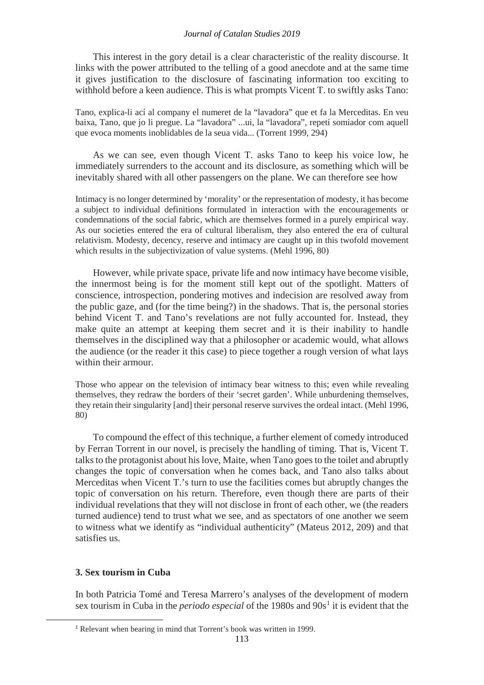#### *Journal of Catalan Studies 2019*

This interest in the gory detail is a clear characteristic of the reality discourse. It links with the power attributed to the telling of a good anecdote and at the same time it gives justification to the disclosure of fascinating information too exciting to withhold before a keen audience. This is what prompts Vicent T. to swiftly asks Tano:

Tano, explica-li ací al company el numeret de la "lavadora" que et fa la Merceditas. En veu baixa, Tano, que jo li pregue. La "lavadora" ...ui, la "lavadora", repetí somiador com aquell que evoca moments inoblidables de la seua vida... (Torrent 1999, 294)

As we can see, even though Vicent T. asks Tano to keep his voice low, he immediately surrenders to the account and its disclosure, as something which will be inevitably shared with all other passengers on the plane. We can therefore see how

Intimacy is no longer determined by 'morality' or the representation of modesty, it has become a subject to individual definitions formulated in interaction with the encouragements or condemnations of the social fabric, which are themselves formed in a purely empirical way. As our societies entered the era of cultural liberalism, they also entered the era of cultural relativism. Modesty, decency, reserve and intimacy are caught up in this twofold movement which results in the subjectivization of value systems. (Mehl 1996, 80)

However, while private space, private life and now intimacy have become visible, the innermost being is for the moment still kept out of the spotlight. Matters of conscience, introspection, pondering motives and indecision are resolved away from the public gaze, and (for the time being?) in the shadows. That is, the personal stories behind Vicent T. and Tano's revelations are not fully accounted for. Instead, they make quite an attempt at keeping them secret and it is their inability to handle themselves in the disciplined way that a philosopher or academic would, what allows the audience (or the reader it this case) to piece together a rough version of what lays within their armour.

Those who appear on the television of intimacy bear witness to this; even while revealing themselves, they redraw the borders of their 'secret garden'. While unburdening themselves, they retain their singularity [and] their personal reserve survives the ordeal intact. (Mehl 1996, 80)

To compound the effect of this technique, a further element of comedy introduced by Ferran Torrent in our novel, is precisely the handling of timing. That is, Vicent T. talks to the protagonist about his love, Maite, when Tano goes to the toilet and abruptly changes the topic of conversation when he comes back, and Tano also talks about Merceditas when Vicent T.'s turn to use the facilities comes but abruptly changes the topic of conversation on his return. Therefore, even though there are parts of their individual revelations that they will not disclose in front of each other, we (the readers turned audience) tend to trust what we see, and as spectators of one another we seem to witness what we identify as "individual authenticity" (Mateus 2012, 209) and that satisfies us.

## **3. Sex tourism in Cuba**

<span id="page-4-0"></span> $\overline{a}$ 

In both Patricia Tomé and Teresa Marrero's analyses of the development of modern sex tourism in Cuba in the *periodo especial* of the [1](#page-4-0)980s and 90s<sup>1</sup> it is evident that the

<sup>1</sup> Relevant when bearing in mind that Torrent's book was written in 1999.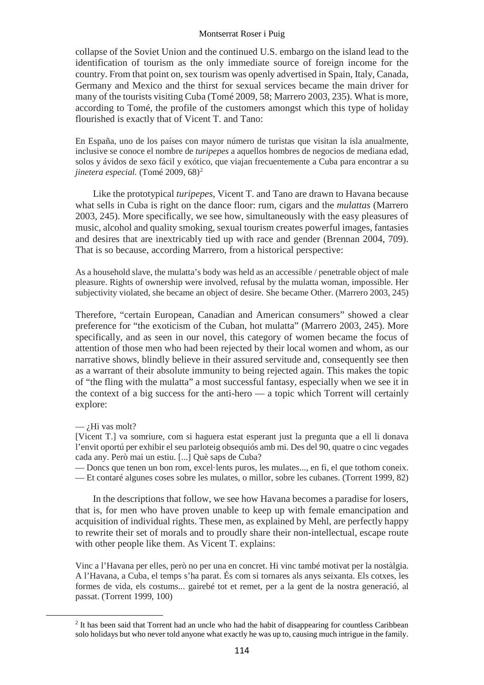collapse of the Soviet Union and the continued U.S. embargo on the island lead to the identification of tourism as the only immediate source of foreign income for the country. From that point on, sex tourism was openly advertised in Spain, Italy, Canada, Germany and Mexico and the thirst for sexual services became the main driver for many of the tourists visiting Cuba (Tomé 2009, 58; Marrero 2003, 235). What is more, according to Tomé, the profile of the customers amongst which this type of holiday flourished is exactly that of Vicent T. and Tano:

En España, uno de los países con mayor número de turistas que visitan la isla anualmente, inclusive se conoce el nombre de *turipepes* a aquellos hombres de negocios de mediana edad, solos y ávidos de sexo fácil y exótico, que viajan frecuentemente a Cuba para encontrar a su *jinetera especial.* (Tomé [2](#page-5-0)009, 68)<sup>2</sup>

Like the prototypical *turipepes*, Vicent T. and Tano are drawn to Havana because what sells in Cuba is right on the dance floor: rum, cigars and the *mulattas* (Marrero 2003, 245). More specifically, we see how, simultaneously with the easy pleasures of music, alcohol and quality smoking, sexual tourism creates powerful images, fantasies and desires that are inextricably tied up with race and gender (Brennan 2004, 709). That is so because, according Marrero, from a historical perspective:

As a household slave, the mulatta's body was held as an accessible / penetrable object of male pleasure. Rights of ownership were involved, refusal by the mulatta woman, impossible. Her subjectivity violated, she became an object of desire. She became Other. (Marrero 2003, 245)

Therefore, "certain European, Canadian and American consumers" showed a clear preference for "the exoticism of the Cuban, hot mulatta" (Marrero 2003, 245). More specifically, and as seen in our novel, this category of women became the focus of attention of those men who had been rejected by their local women and whom, as our narrative shows, blindly believe in their assured servitude and, consequently see then as a warrant of their absolute immunity to being rejected again. This makes the topic of "the fling with the mulatta" a most successful fantasy, especially when we see it in the context of a big success for the anti-hero — a topic which Torrent will certainly explore:

 $-$  *i*.Hi vas molt?

<span id="page-5-0"></span> $\overline{a}$ 

[Vicent T.] va somriure, com si haguera estat esperant just la pregunta que a ell li donava l'envit oportú per exhibir el seu parloteig obsequiós amb mi. Des del 90, quatre o cinc vegades cada any. Però mai un estiu. [...] Què saps de Cuba?

— Doncs que tenen un bon rom, excel·lents puros, les mulates..., en fi, el que tothom coneix. — Et contaré algunes coses sobre les mulates, o millor, sobre les cubanes. (Torrent 1999, 82)

In the descriptions that follow, we see how Havana becomes a paradise for losers, that is, for men who have proven unable to keep up with female emancipation and acquisition of individual rights. These men, as explained by Mehl, are perfectly happy to rewrite their set of morals and to proudly share their non-intellectual, escape route with other people like them. As Vicent T. explains:

Vinc a l'Havana per elles, però no per una en concret. Hi vinc també motivat per la nostàlgia. A l'Havana, a Cuba, el temps s'ha parat. És com si tornares als anys seixanta. Els cotxes, les formes de vida, els costums... gairebé tot et remet, per a la gent de la nostra generació, al passat. (Torrent 1999, 100)

<sup>2</sup> It has been said that Torrent had an uncle who had the habit of disappearing for countless Caribbean solo holidays but who never told anyone what exactly he was up to, causing much intrigue in the family.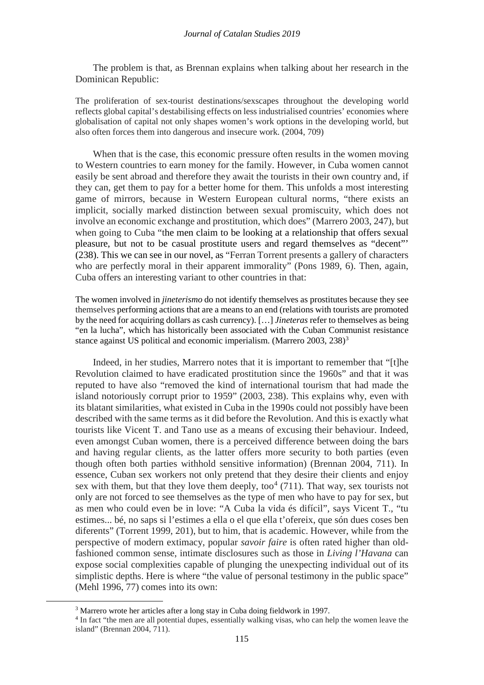The problem is that, as Brennan explains when talking about her research in the Dominican Republic:

The proliferation of sex-tourist destinations/sexscapes throughout the developing world reflects global capital's destabilising effects on less industrialised countries' economies where globalisation of capital not only shapes women's work options in the developing world, but also often forces them into dangerous and insecure work. (2004, 709)

When that is the case, this economic pressure often results in the women moving to Western countries to earn money for the family. However, in Cuba women cannot easily be sent abroad and therefore they await the tourists in their own country and, if they can, get them to pay for a better home for them. This unfolds a most interesting game of mirrors, because in Western European cultural norms, "there exists an implicit, socially marked distinction between sexual promiscuity, which does not involve an economic exchange and prostitution, which does" (Marrero 2003, 247), but when going to Cuba "the men claim to be looking at a relationship that offers sexual pleasure, but not to be casual prostitute users and regard themselves as "decent"' (238). This we can see in our novel, as "Ferran Torrent presents a gallery of characters who are perfectly moral in their apparent immorality" (Pons 1989, 6). Then, again, Cuba offers an interesting variant to other countries in that:

The women involved in *jineterismo* do not identify themselves as prostitutes because they see themselves performing actions that are a means to an end (relations with tourists are promoted by the need for acquiring dollars as cash currency). […] *Jineteras* refer to themselves as being "en la lucha", which has historically been associated with the Cuban Communist resistance stance against US political and economic imperialism. (Marrero 200[3](#page-6-0), 238)<sup>3</sup>

Indeed, in her studies, Marrero notes that it is important to remember that "[t]he Revolution claimed to have eradicated prostitution since the 1960s" and that it was reputed to have also "removed the kind of international tourism that had made the island notoriously corrupt prior to 1959" (2003, 238). This explains why, even with its blatant similarities, what existed in Cuba in the 1990s could not possibly have been described with the same terms as it did before the Revolution. And this is exactly what tourists like Vicent T. and Tano use as a means of excusing their behaviour. Indeed, even amongst Cuban women, there is a perceived difference between doing the bars and having regular clients, as the latter offers more security to both parties (even though often both parties withhold sensitive information) (Brennan 2004, 711). In essence, Cuban sex workers not only pretend that they desire their clients and enjoy sex with them, but that they love them deeply, too<sup>[4](#page-6-1)</sup> (711). That way, sex tourists not only are not forced to see themselves as the type of men who have to pay for sex, but as men who could even be in love: "A Cuba la vida és difícil", says Vicent T., "tu estimes... bé, no saps si l'estimes a ella o el que ella t'ofereix, que són dues coses ben diferents" (Torrent 1999, 201), but to him, that is academic. However, while from the perspective of modern extimacy, popular *savoir faire* is often rated higher than oldfashioned common sense, intimate disclosures such as those in *Living l'Havana* can expose social complexities capable of plunging the unexpecting individual out of its simplistic depths. Here is where "the value of personal testimony in the public space" (Mehl 1996, 77) comes into its own:

<span id="page-6-1"></span><span id="page-6-0"></span> $\overline{a}$ 

<sup>3</sup> Marrero wrote her articles after a long stay in Cuba doing fieldwork in 1997.

<sup>4</sup> In fact "the men are all potential dupes, essentially walking visas, who can help the women leave the island" (Brennan 2004, 711).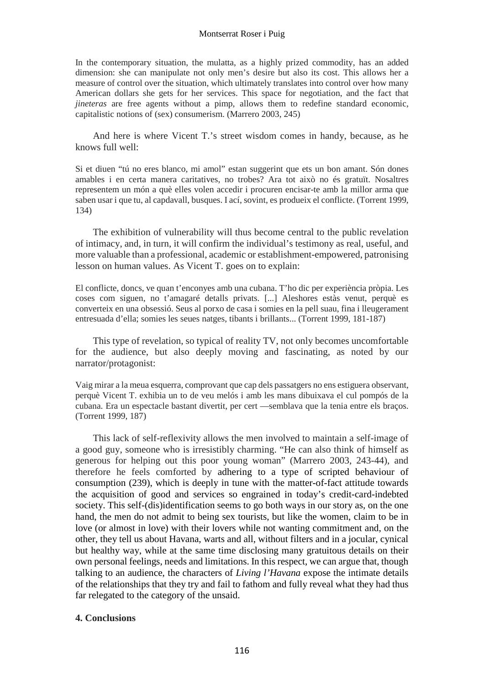In the contemporary situation, the mulatta, as a highly prized commodity, has an added dimension: she can manipulate not only men's desire but also its cost. This allows her a measure of control over the situation, which ultimately translates into control over how many American dollars she gets for her services. This space for negotiation, and the fact that *jineteras* are free agents without a pimp, allows them to redefine standard economic, capitalistic notions of (sex) consumerism. (Marrero 2003, 245)

And here is where Vicent T.'s street wisdom comes in handy, because, as he knows full well:

Si et diuen "tú no eres blanco, mi amol" estan suggerint que ets un bon amant. Són dones amables i en certa manera caritatives, no trobes? Ara tot això no és gratuït. Nosaltres representem un món a què elles volen accedir i procuren encisar-te amb la millor arma que saben usar i que tu, al capdavall, busques. I ací, sovint, es produeix el conflicte. (Torrent 1999, 134)

The exhibition of vulnerability will thus become central to the public revelation of intimacy, and, in turn, it will confirm the individual's testimony as real, useful, and more valuable than a professional, academic or establishment-empowered, patronising lesson on human values. As Vicent T. goes on to explain:

El conflicte, doncs, ve quan t'enconyes amb una cubana. T'ho dic per experiència pròpia. Les coses com siguen, no t'amagaré detalls privats. [...] Aleshores estàs venut, perquè es converteix en una obsessió. Seus al porxo de casa i somies en la pell suau, fina i lleugerament entresuada d'ella; somies les seues natges, tibants i brillants... (Torrent 1999, 181-187)

This type of revelation, so typical of reality TV, not only becomes uncomfortable for the audience, but also deeply moving and fascinating, as noted by our narrator/protagonist:

Vaig mirar a la meua esquerra, comprovant que cap dels passatgers no ens estiguera observant, perquè Vicent T. exhibia un to de veu melós i amb les mans dibuixava el cul pompós de la cubana. Era un espectacle bastant divertit, per cert —semblava que la tenia entre els braços. (Torrent 1999, 187)

This lack of self-reflexivity allows the men involved to maintain a self-image of a good guy, someone who is irresistibly charming. "He can also think of himself as generous for helping out this poor young woman" (Marrero 2003, 243-44), and therefore he feels comforted by adhering to a type of scripted behaviour of consumption (239), which is deeply in tune with the matter-of-fact attitude towards the acquisition of good and services so engrained in today's credit-card-indebted society. This self-(dis)identification seems to go both ways in our story as, on the one hand, the men do not admit to being sex tourists, but like the women, claim to be in love (or almost in love) with their lovers while not wanting commitment and, on the other, they tell us about Havana, warts and all, without filters and in a jocular, cynical but healthy way, while at the same time disclosing many gratuitous details on their own personal feelings, needs and limitations. In this respect, we can argue that, though talking to an audience, the characters of *Living l'Havana* expose the intimate details of the relationships that they try and fail to fathom and fully reveal what they had thus far relegated to the category of the unsaid.

## **4. Conclusions**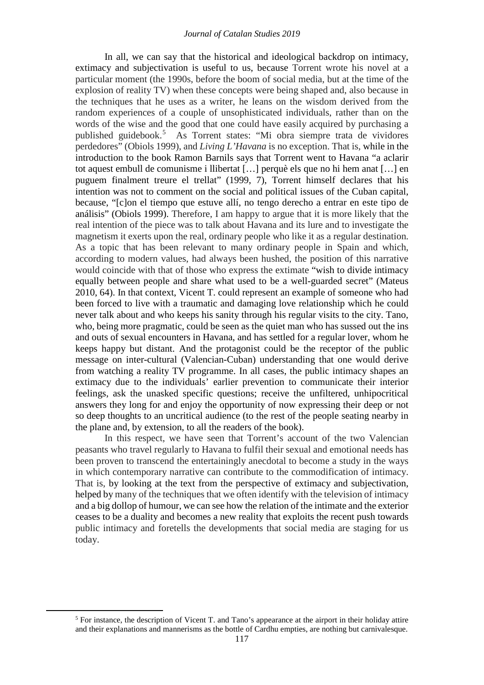In all, we can say that the historical and ideological backdrop on intimacy, extimacy and subjectivation is useful to us, because Torrent wrote his novel at a particular moment (the 1990s, before the boom of social media, but at the time of the explosion of reality TV) when these concepts were being shaped and, also because in the techniques that he uses as a writer, he leans on the wisdom derived from the random experiences of a couple of unsophisticated individuals, rather than on the words of the wise and the good that one could have easily acquired by purchasing a published guidebook.[5](#page-8-0) As Torrent states: "Mi obra siempre trata de vividores perdedores" (Obiols 1999), and *Living L'Havana* is no exception. That is, while in the introduction to the book Ramon Barnils says that Torrent went to Havana "a aclarir tot aquest embull de comunisme i llibertat […] perquè els que no hi hem anat […] en puguem finalment treure el trellat" (1999, 7), Torrent himself declares that his intention was not to comment on the social and political issues of the Cuban capital, because, "[c]on el tiempo que estuve allí, no tengo derecho a entrar en este tipo de análisis" (Obiols 1999). Therefore, I am happy to argue that it is more likely that the real intention of the piece was to talk about Havana and its lure and to investigate the magnetism it exerts upon the real, ordinary people who like it as a regular destination. As a topic that has been relevant to many ordinary people in Spain and which, according to modern values, had always been hushed, the position of this narrative would coincide with that of those who express the extimate "wish to divide intimacy equally between people and share what used to be a well-guarded secret" (Mateus 2010, 64). In that context, Vicent T. could represent an example of someone who had been forced to live with a traumatic and damaging love relationship which he could never talk about and who keeps his sanity through his regular visits to the city. Tano, who, being more pragmatic, could be seen as the quiet man who has sussed out the ins and outs of sexual encounters in Havana, and has settled for a regular lover, whom he keeps happy but distant. And the protagonist could be the receptor of the public message on inter-cultural (Valencian-Cuban) understanding that one would derive from watching a reality TV programme. In all cases, the public intimacy shapes an extimacy due to the individuals' earlier prevention to communicate their interior feelings, ask the unasked specific questions; receive the unfiltered, unhipocritical answers they long for and enjoy the opportunity of now expressing their deep or not so deep thoughts to an uncritical audience (to the rest of the people seating nearby in the plane and, by extension, to all the readers of the book).

In this respect, we have seen that Torrent's account of the two Valencian peasants who travel regularly to Havana to fulfil their sexual and emotional needs has been proven to transcend the entertainingly anecdotal to become a study in the ways in which contemporary narrative can contribute to the commodification of intimacy. That is, by looking at the text from the perspective of extimacy and subjectivation, helped by many of the techniques that we often identify with the television of intimacy and a big dollop of humour, we can see how the relation of the intimate and the exterior ceases to be a duality and becomes a new reality that exploits the recent push towards public intimacy and foretells the developments that social media are staging for us today.

<span id="page-8-0"></span> $\overline{a}$ 

<sup>5</sup> For instance, the description of Vicent T. and Tano's appearance at the airport in their holiday attire and their explanations and mannerisms as the bottle of Cardhu empties, are nothing but carnivalesque.